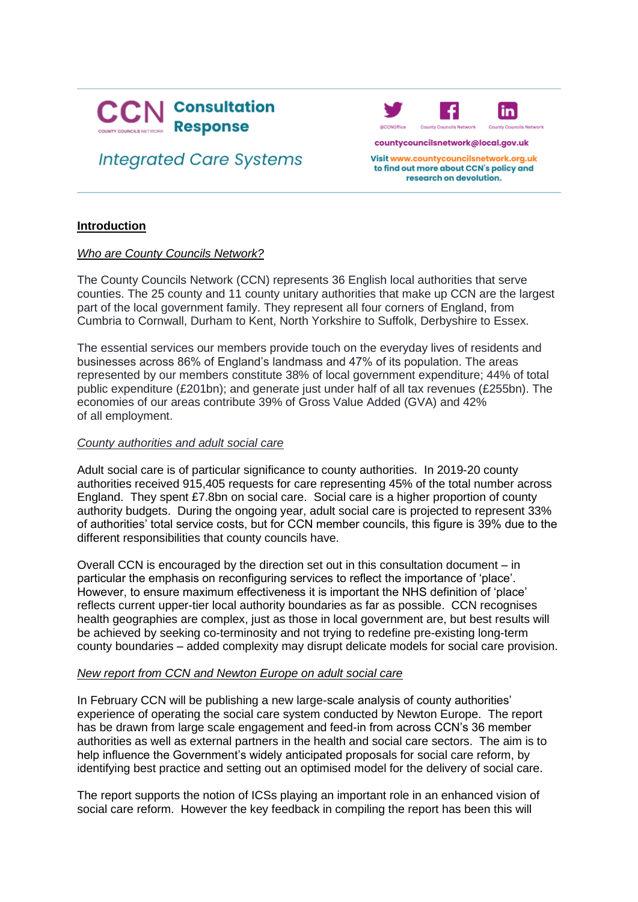

# **Integrated Care Systems**



countycouncilsnetwork@local.gov.uk

Visit www.countycouncilsnetwork.org.uk to find out more about CCN's policy and research on devolution.

### **Introduction**

### *Who are County Councils Network?*

The County Councils Network (CCN) represents 36 English local authorities that serve counties. The 25 county and 11 county unitary authorities that make up CCN are the largest part of the local government family. They represent all four corners of England, from Cumbria to Cornwall, Durham to Kent, North Yorkshire to Suffolk, Derbyshire to Essex.

The essential services our members provide touch on the everyday lives of residents and businesses across 86% of England's landmass and 47% of its population. The areas represented by our members constitute 38% of local government expenditure; 44% of total public expenditure (£201bn); and generate just under half of all tax revenues (£255bn). The economies of our areas contribute 39% of Gross Value Added (GVA) and 42% of all employment.

### *County authorities and adult social care*

Adult social care is of particular significance to county authorities. In 2019-20 county authorities received 915,405 requests for care representing 45% of the total number across England. They spent £7.8bn on social care. Social care is a higher proportion of county authority budgets. During the ongoing year, adult social care is projected to represent 33% of authorities' total service costs, but for CCN member councils, this figure is 39% due to the different responsibilities that county councils have.

Overall CCN is encouraged by the direction set out in this consultation document – in particular the emphasis on reconfiguring services to reflect the importance of 'place'. However, to ensure maximum effectiveness it is important the NHS definition of 'place' reflects current upper-tier local authority boundaries as far as possible. CCN recognises health geographies are complex, just as those in local government are, but best results will be achieved by seeking co-terminosity and not trying to redefine pre-existing long-term county boundaries – added complexity may disrupt delicate models for social care provision.

### *New report from CCN and Newton Europe on adult social care*

In February CCN will be publishing a new large-scale analysis of county authorities' experience of operating the social care system conducted by Newton Europe. The report has be drawn from large scale engagement and feed-in from across CCN's 36 member authorities as well as external partners in the health and social care sectors. The aim is to help influence the Government's widely anticipated proposals for social care reform, by identifying best practice and setting out an optimised model for the delivery of social care.

The report supports the notion of ICSs playing an important role in an enhanced vision of social care reform. However the key feedback in compiling the report has been this will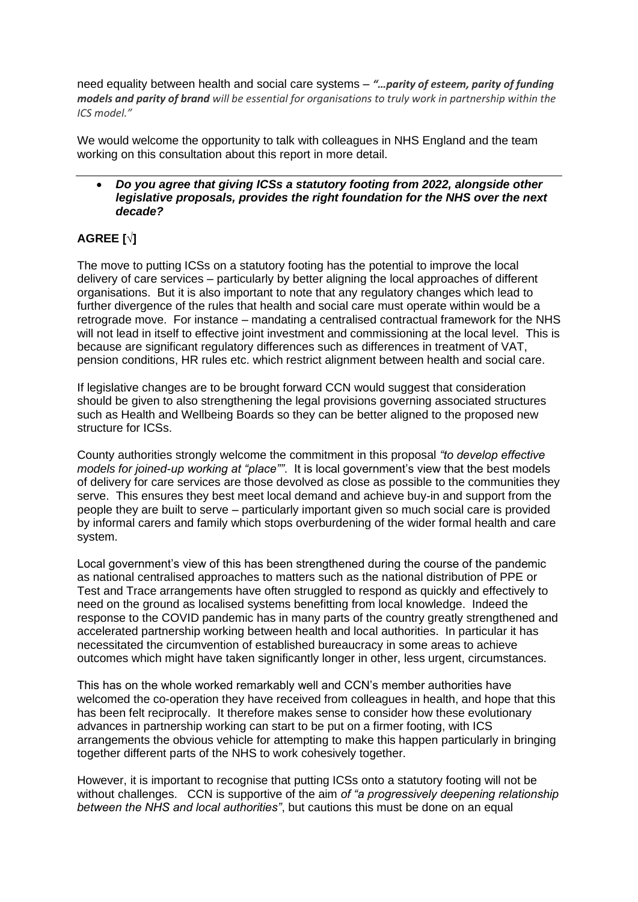need equality between health and social care systems – *"…parity of esteem, parity of funding models and parity of brand will be essential for organisations to truly work in partnership within the ICS model."*

We would welcome the opportunity to talk with colleagues in NHS England and the team working on this consultation about this report in more detail.

### • *Do you agree that giving ICSs a statutory footing from 2022, alongside other legislative proposals, provides the right foundation for the NHS over the next decade?*

# **AGREE [√]**

The move to putting ICSs on a statutory footing has the potential to improve the local delivery of care services – particularly by better aligning the local approaches of different organisations. But it is also important to note that any regulatory changes which lead to further divergence of the rules that health and social care must operate within would be a retrograde move. For instance – mandating a centralised contractual framework for the NHS will not lead in itself to effective joint investment and commissioning at the local level. This is because are significant regulatory differences such as differences in treatment of VAT, pension conditions, HR rules etc. which restrict alignment between health and social care.

If legislative changes are to be brought forward CCN would suggest that consideration should be given to also strengthening the legal provisions governing associated structures such as Health and Wellbeing Boards so they can be better aligned to the proposed new structure for ICSs.

County authorities strongly welcome the commitment in this proposal *"to develop effective models for joined-up working at "place""*. It is local government's view that the best models of delivery for care services are those devolved as close as possible to the communities they serve. This ensures they best meet local demand and achieve buy-in and support from the people they are built to serve – particularly important given so much social care is provided by informal carers and family which stops overburdening of the wider formal health and care system.

Local government's view of this has been strengthened during the course of the pandemic as national centralised approaches to matters such as the national distribution of PPE or Test and Trace arrangements have often struggled to respond as quickly and effectively to need on the ground as localised systems benefitting from local knowledge. Indeed the response to the COVID pandemic has in many parts of the country greatly strengthened and accelerated partnership working between health and local authorities. In particular it has necessitated the circumvention of established bureaucracy in some areas to achieve outcomes which might have taken significantly longer in other, less urgent, circumstances.

This has on the whole worked remarkably well and CCN's member authorities have welcomed the co-operation they have received from colleagues in health, and hope that this has been felt reciprocally. It therefore makes sense to consider how these evolutionary advances in partnership working can start to be put on a firmer footing, with ICS arrangements the obvious vehicle for attempting to make this happen particularly in bringing together different parts of the NHS to work cohesively together.

However, it is important to recognise that putting ICSs onto a statutory footing will not be without challenges. CCN is supportive of the aim *of "a progressively deepening relationship between the NHS and local authorities"*, but cautions this must be done on an equal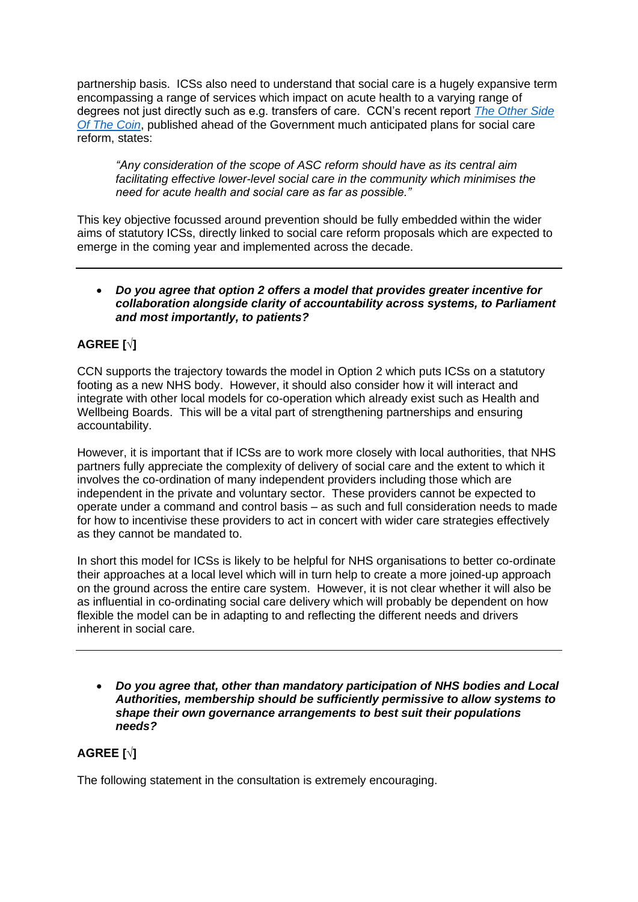partnership basis. ICSs also need to understand that social care is a hugely expansive term encompassing a range of services which impact on acute health to a varying range of degrees not just directly such as e.g. transfers of care. CCN's recent report *[The Other Side](about:blank)  [Of The Coin](about:blank)*, published ahead of the Government much anticipated plans for social care reform, states:

*"Any consideration of the scope of ASC reform should have as its central aim facilitating effective lower-level social care in the community which minimises the need for acute health and social care as far as possible."*

This key objective focussed around prevention should be fully embedded within the wider aims of statutory ICSs, directly linked to social care reform proposals which are expected to emerge in the coming year and implemented across the decade.

### • *Do you agree that option 2 offers a model that provides greater incentive for collaboration alongside clarity of accountability across systems, to Parliament and most importantly, to patients?*

# **AGREE [√]**

CCN supports the trajectory towards the model in Option 2 which puts ICSs on a statutory footing as a new NHS body. However, it should also consider how it will interact and integrate with other local models for co-operation which already exist such as Health and Wellbeing Boards. This will be a vital part of strengthening partnerships and ensuring accountability.

However, it is important that if ICSs are to work more closely with local authorities, that NHS partners fully appreciate the complexity of delivery of social care and the extent to which it involves the co-ordination of many independent providers including those which are independent in the private and voluntary sector. These providers cannot be expected to operate under a command and control basis – as such and full consideration needs to made for how to incentivise these providers to act in concert with wider care strategies effectively as they cannot be mandated to.

In short this model for ICSs is likely to be helpful for NHS organisations to better co-ordinate their approaches at a local level which will in turn help to create a more joined-up approach on the ground across the entire care system. However, it is not clear whether it will also be as influential in co-ordinating social care delivery which will probably be dependent on how flexible the model can be in adapting to and reflecting the different needs and drivers inherent in social care.

• *Do you agree that, other than mandatory participation of NHS bodies and Local Authorities, membership should be sufficiently permissive to allow systems to shape their own governance arrangements to best suit their populations needs?*

# **AGREE [√]**

The following statement in the consultation is extremely encouraging.